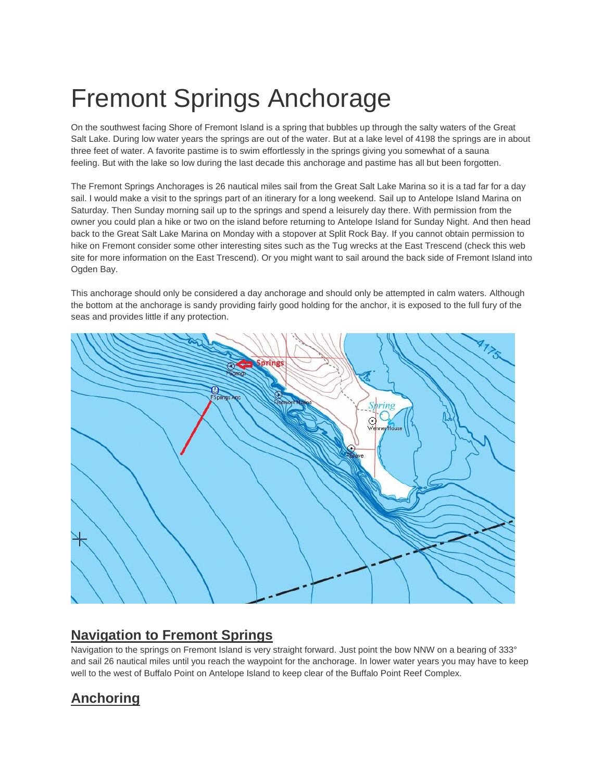## Fremont Springs Anchorage

On the southwest facing Shore of Fremont Island is a spring that bubbles up through the salty waters of the Great Salt Lake. During low water years the springs are out of the water. But at a lake level of 4198 the springs are in about three feet of water. A favorite pastime is to swim effortlessly in the springs giving you somewhat of a sauna feeling. But with the lake so low during the last decade this anchorage and pastime has all but been forgotten.

The Fremont Springs Anchorages is 26 nautical miles sail from the Great Salt Lake Marina so it is a tad far for a day sail. I would make a visit to the springs part of an itinerary for a long weekend. Sail up to Antelope Island Marina on Saturday. Then Sunday morning sail up to the springs and spend a leisurely day there. With permission from the owner you could plan a hike or two on the island before returning to Antelope Island for Sunday Night. And then head back to the Great Salt Lake Marina on Monday with a stopover at Split Rock Bay. If you cannot obtain permission to hike on Fremont consider some other interesting sites such as the Tug wrecks at the East Trescend (check this web site for more information on the East Trescend). Or you might want to sail around the back side of Fremont Island into Ogden Bay.

This anchorage should only be considered a day anchorage and should only be attempted in calm waters. Although the bottom at the anchorage is sandy providing fairly good holding for the anchor, it is exposed to the full fury of the seas and provides little if any protection.



## **Navigation to Fremont Springs**

Navigation to the springs on Fremont Island is very straight forward. Just point the bow NNW on a bearing of 333° and sail 26 nautical miles until you reach the waypoint for the anchorage. In lower water years you may have to keep well to the west of Buffalo Point on Antelope Island to keep clear of the Buffalo Point Reef Complex.

## **Anchoring**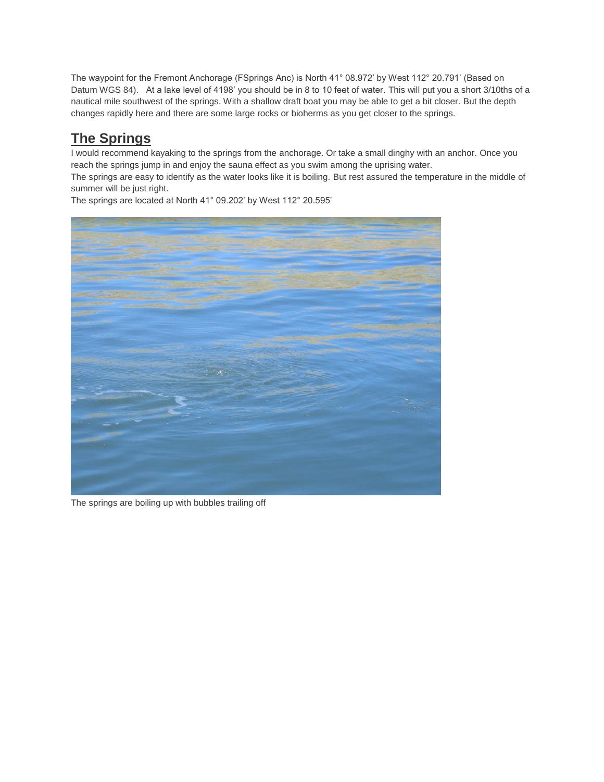The waypoint for the Fremont Anchorage (FSprings Anc) is North 41° 08.972' by West 112° 20.791' (Based on Datum WGS 84). At a lake level of 4198' you should be in 8 to 10 feet of water. This will put you a short 3/10ths of a nautical mile southwest of the springs. With a shallow draft boat you may be able to get a bit closer. But the depth changes rapidly here and there are some large rocks or bioherms as you get closer to the springs.

## **The Springs**

I would recommend kayaking to the springs from the anchorage. Or take a small dinghy with an anchor. Once you reach the springs jump in and enjoy the sauna effect as you swim among the uprising water.

The springs are easy to identify as the water looks like it is boiling. But rest assured the temperature in the middle of summer will be just right.



The springs are located at North 41° 09.202' by West 112° 20.595'

The springs are boiling up with bubbles trailing off